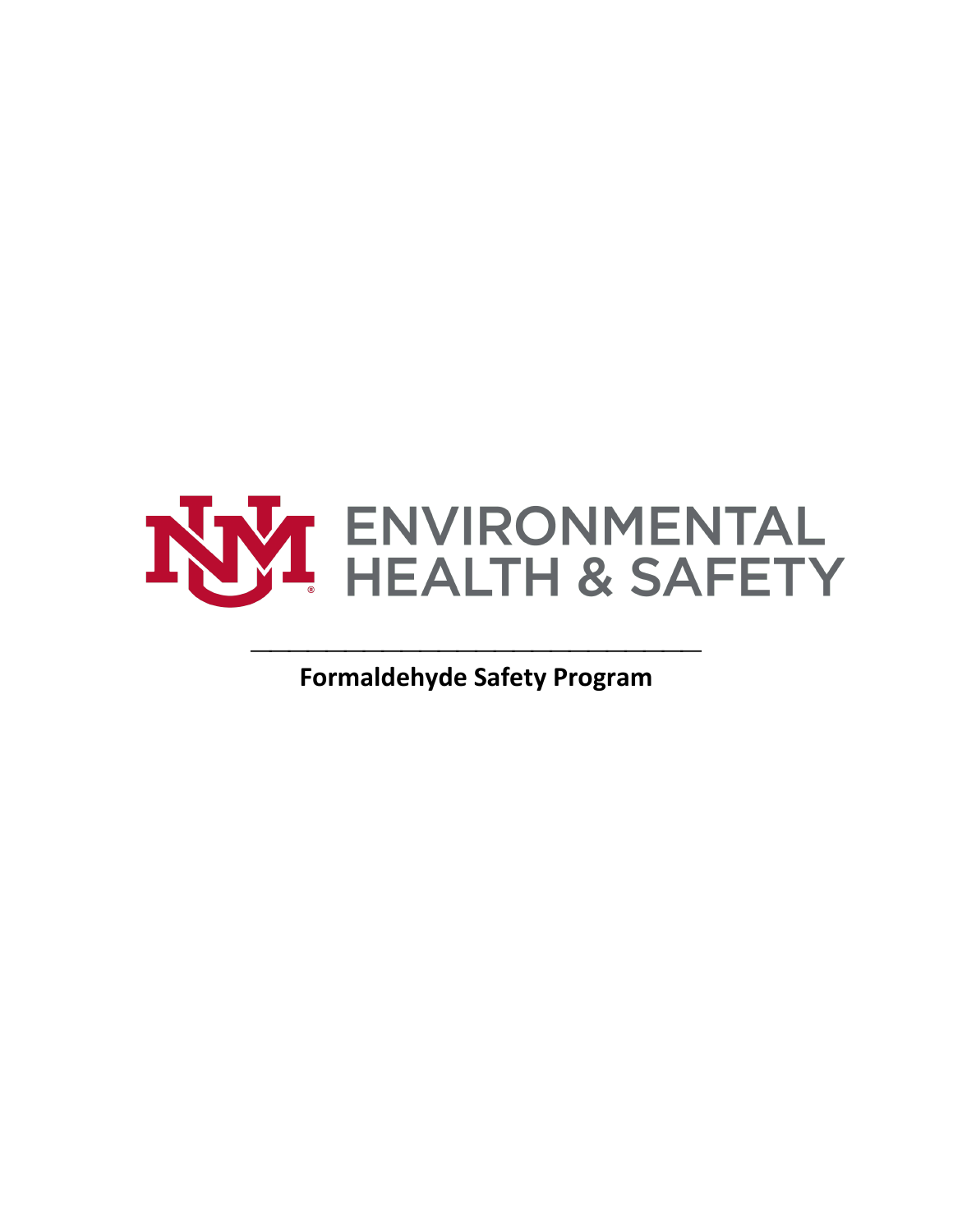

 **Formaldehyde Safety Program**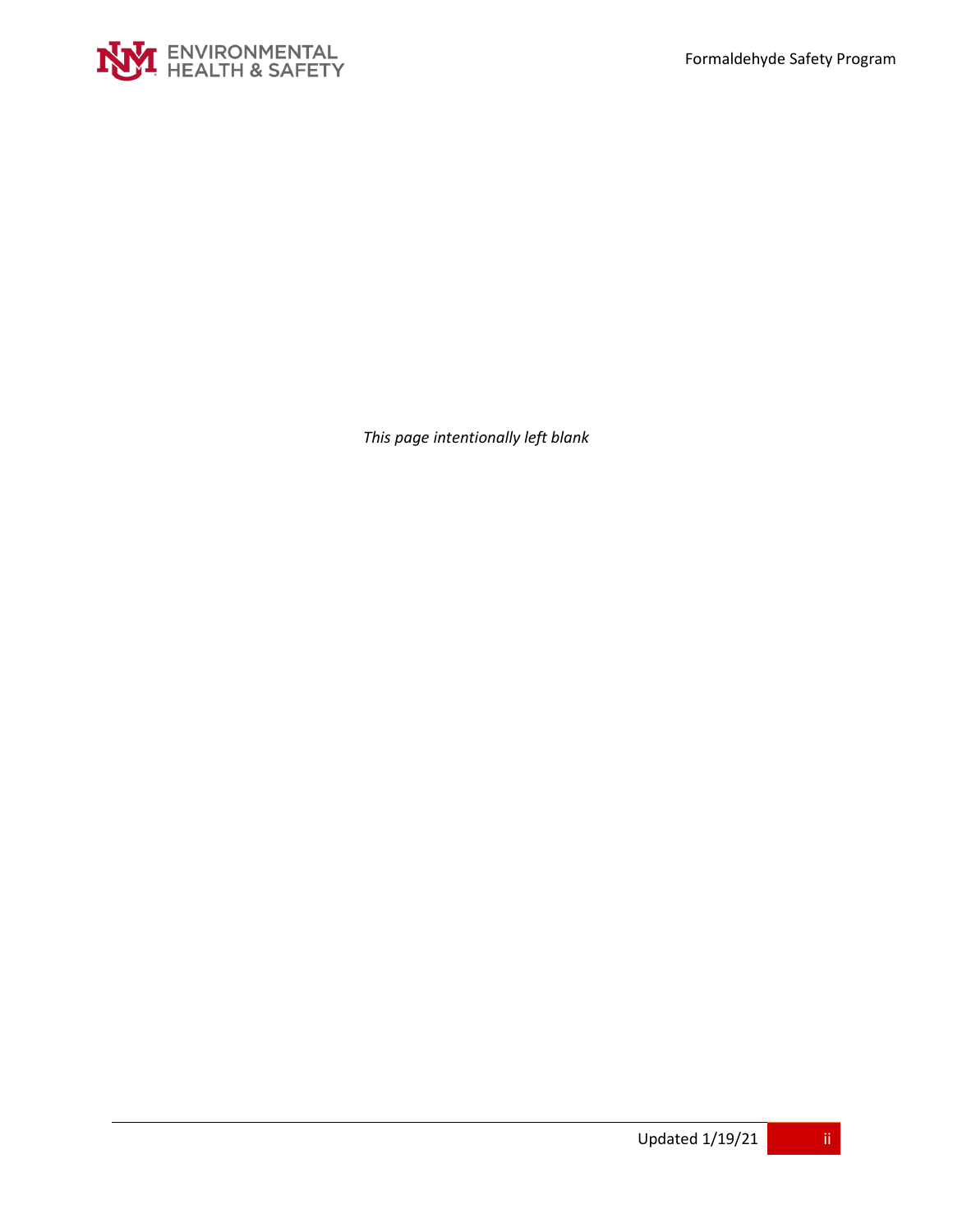

*This page intentionally left blank*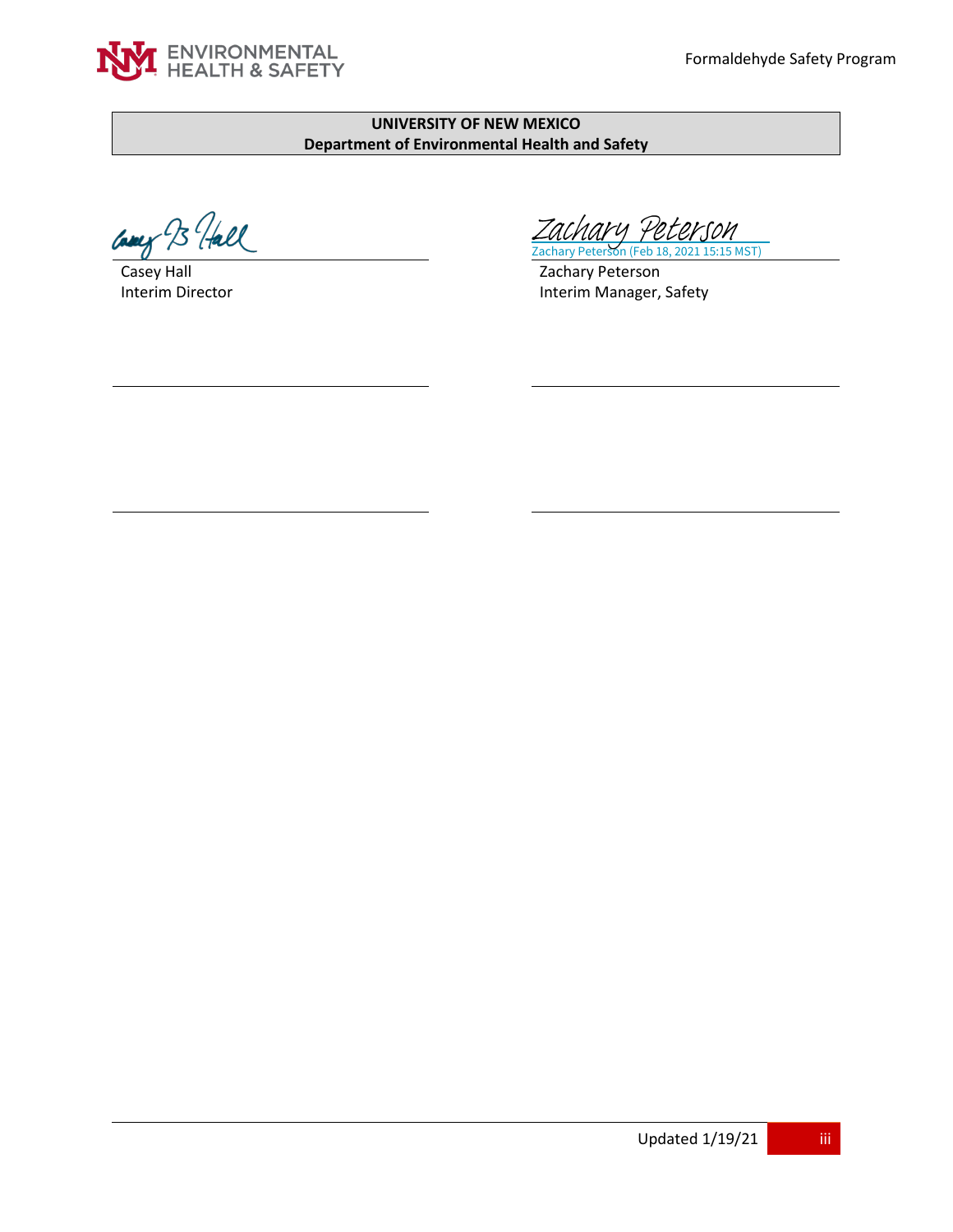

#### **UNIVERSITY OF NEW MEXICO Department of Environmental Health and Safety**

73 Hall Casey

Casey Hall Interim Director

Zachary Peterson (Feb 18, 2021 15:15 MST) [Zachary Peterson](https://secure.na2.echosign.com/verifier?tx=CBJCHBCAABAAetpg-XRTUCuht5__wayLPDrnzqhSg_hN)

Zachary Peterson Interim Manager, Safety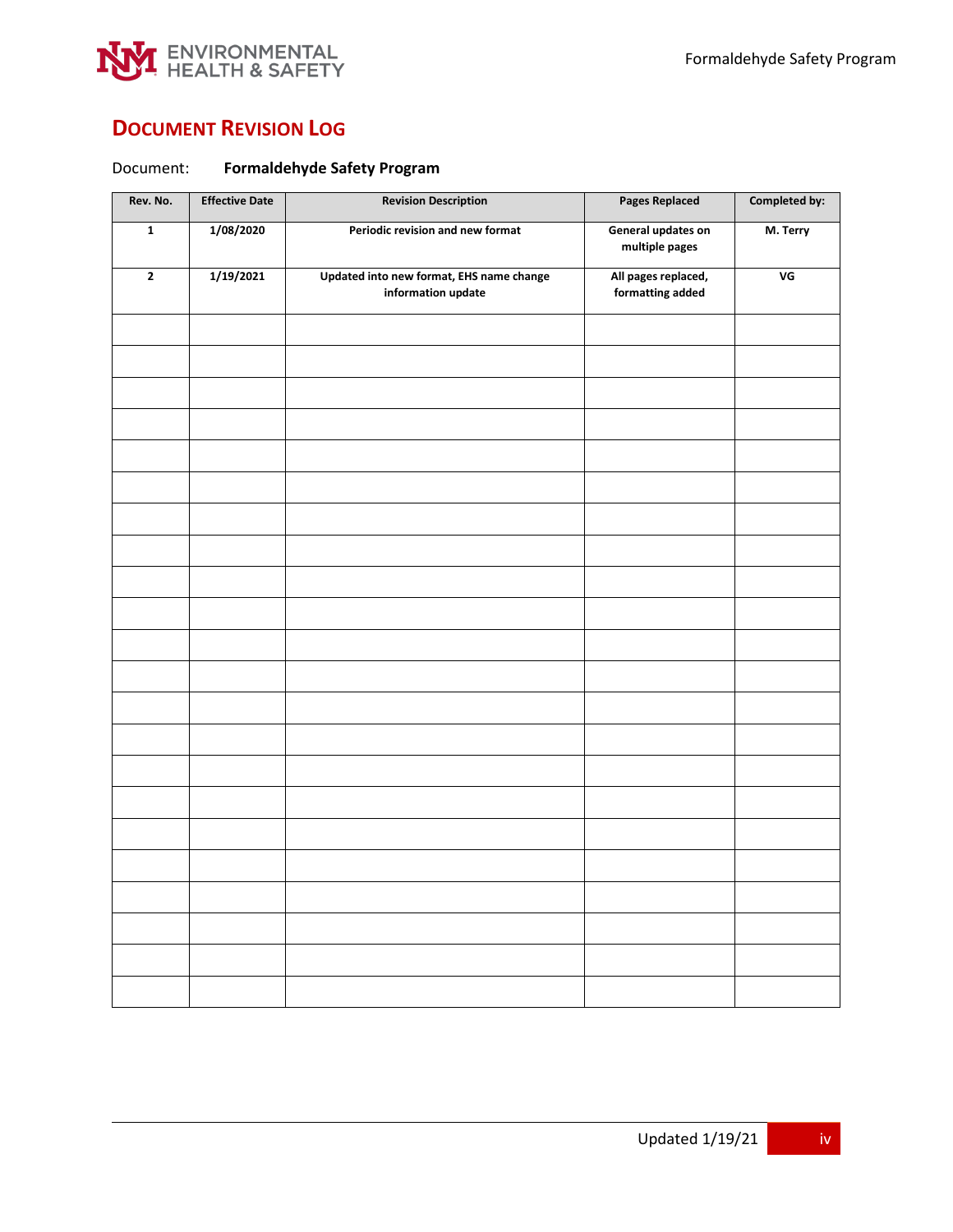

## **DOCUMENT REVISION LOG**

#### Document: **Formaldehyde Safety Program**

| Rev. No.                | <b>Effective Date</b> | <b>Revision Description</b>                                    | <b>Pages Replaced</b>                   | Completed by: |
|-------------------------|-----------------------|----------------------------------------------------------------|-----------------------------------------|---------------|
| $\mathbf{1}$            | 1/08/2020             | Periodic revision and new format                               | General updates on<br>multiple pages    | M. Terry      |
| $\overline{\mathbf{2}}$ | 1/19/2021             | Updated into new format, EHS name change<br>information update | All pages replaced,<br>formatting added | VG            |
|                         |                       |                                                                |                                         |               |
|                         |                       |                                                                |                                         |               |
|                         |                       |                                                                |                                         |               |
|                         |                       |                                                                |                                         |               |
|                         |                       |                                                                |                                         |               |
|                         |                       |                                                                |                                         |               |
|                         |                       |                                                                |                                         |               |
|                         |                       |                                                                |                                         |               |
|                         |                       |                                                                |                                         |               |
|                         |                       |                                                                |                                         |               |
|                         |                       |                                                                |                                         |               |
|                         |                       |                                                                |                                         |               |
|                         |                       |                                                                |                                         |               |
|                         |                       |                                                                |                                         |               |
|                         |                       |                                                                |                                         |               |
|                         |                       |                                                                |                                         |               |
|                         |                       |                                                                |                                         |               |
|                         |                       |                                                                |                                         |               |
|                         |                       |                                                                |                                         |               |
|                         |                       |                                                                |                                         |               |
|                         |                       |                                                                |                                         |               |
|                         |                       |                                                                |                                         |               |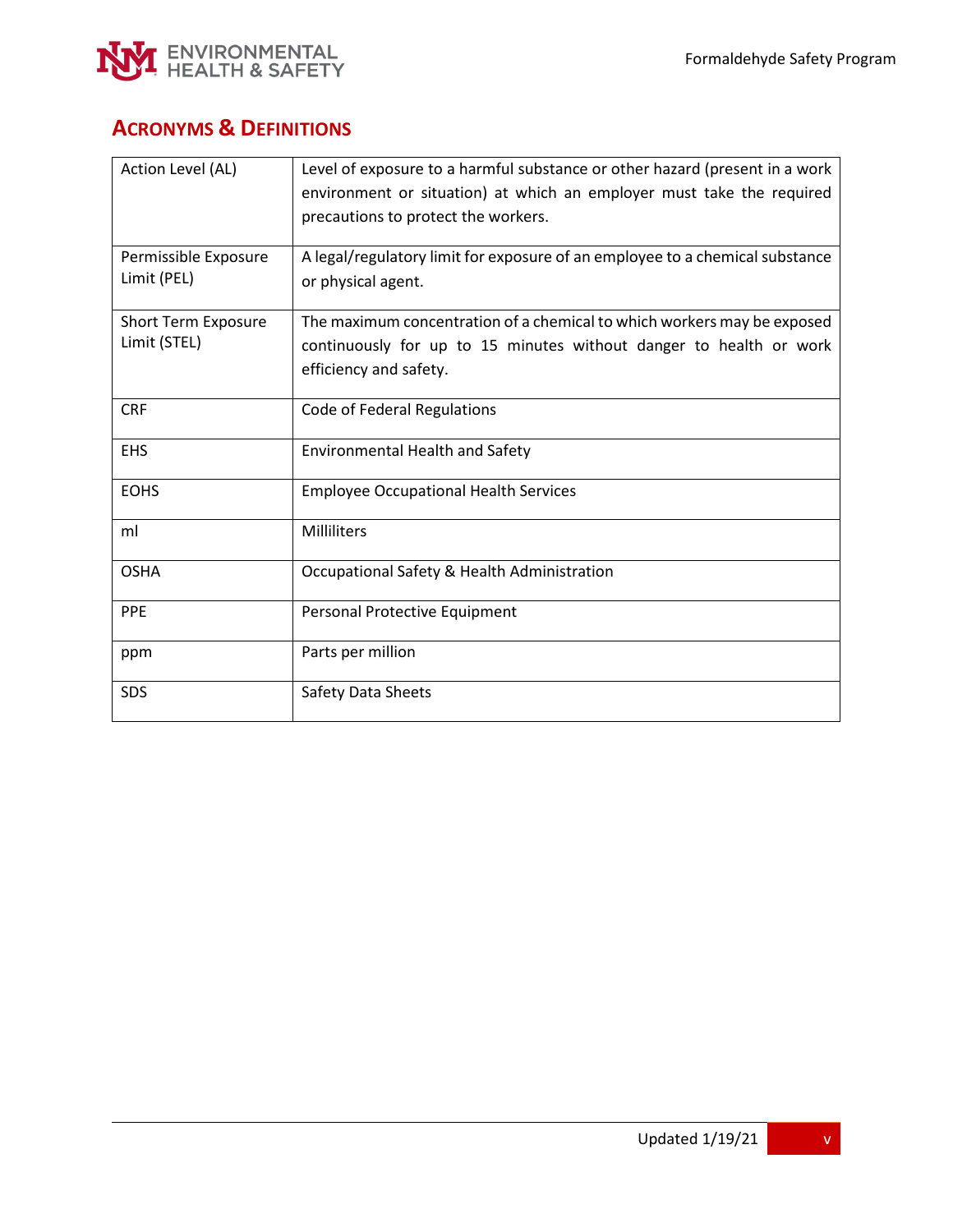

## **ACRONYMS & DEFINITIONS**

| Action Level (AL)    | Level of exposure to a harmful substance or other hazard (present in a work  |
|----------------------|------------------------------------------------------------------------------|
|                      | environment or situation) at which an employer must take the required        |
|                      | precautions to protect the workers.                                          |
|                      |                                                                              |
| Permissible Exposure | A legal/regulatory limit for exposure of an employee to a chemical substance |
| Limit (PEL)          | or physical agent.                                                           |
| Short Term Exposure  | The maximum concentration of a chemical to which workers may be exposed      |
| Limit (STEL)         | continuously for up to 15 minutes without danger to health or work           |
|                      | efficiency and safety.                                                       |
| <b>CRF</b>           | Code of Federal Regulations                                                  |
|                      |                                                                              |
| <b>EHS</b>           | <b>Environmental Health and Safety</b>                                       |
| <b>EOHS</b>          | <b>Employee Occupational Health Services</b>                                 |
| ml                   | Milliliters                                                                  |
| <b>OSHA</b>          | Occupational Safety & Health Administration                                  |
| <b>PPE</b>           | Personal Protective Equipment                                                |
| ppm                  | Parts per million                                                            |
| SDS                  | Safety Data Sheets                                                           |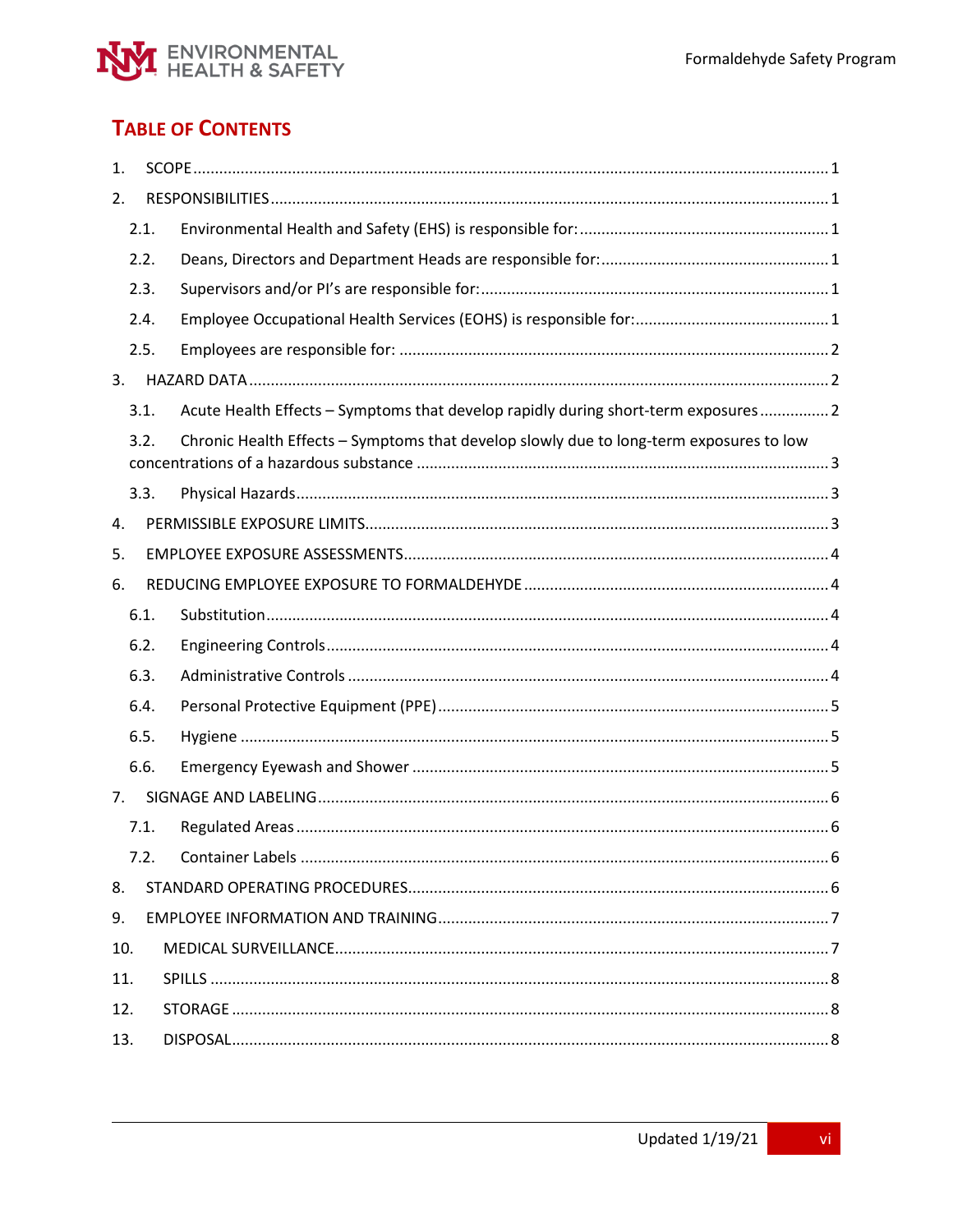# **TABLE OF CONTENTS**

| 1.                                                                                              |      |                                                                                   |  |  |  |  |
|-------------------------------------------------------------------------------------------------|------|-----------------------------------------------------------------------------------|--|--|--|--|
| 2.                                                                                              |      |                                                                                   |  |  |  |  |
|                                                                                                 | 2.1. |                                                                                   |  |  |  |  |
|                                                                                                 | 2.2. |                                                                                   |  |  |  |  |
|                                                                                                 | 2.3. |                                                                                   |  |  |  |  |
|                                                                                                 | 2.4. |                                                                                   |  |  |  |  |
|                                                                                                 | 2.5. |                                                                                   |  |  |  |  |
| 3.                                                                                              |      |                                                                                   |  |  |  |  |
|                                                                                                 | 3.1. | Acute Health Effects - Symptoms that develop rapidly during short-term exposures2 |  |  |  |  |
| Chronic Health Effects - Symptoms that develop slowly due to long-term exposures to low<br>3.2. |      |                                                                                   |  |  |  |  |
|                                                                                                 | 3.3. |                                                                                   |  |  |  |  |
| 4.                                                                                              |      |                                                                                   |  |  |  |  |
| 5.                                                                                              |      |                                                                                   |  |  |  |  |
| 6.                                                                                              |      |                                                                                   |  |  |  |  |
|                                                                                                 | 6.1. |                                                                                   |  |  |  |  |
|                                                                                                 | 6.2. |                                                                                   |  |  |  |  |
|                                                                                                 | 6.3. |                                                                                   |  |  |  |  |
|                                                                                                 | 6.4. |                                                                                   |  |  |  |  |
|                                                                                                 | 6.5. |                                                                                   |  |  |  |  |
|                                                                                                 | 6.6. |                                                                                   |  |  |  |  |
| 7.                                                                                              |      |                                                                                   |  |  |  |  |
|                                                                                                 | 7.1. |                                                                                   |  |  |  |  |
|                                                                                                 | 7.2. | . 6                                                                               |  |  |  |  |
| 8.                                                                                              |      |                                                                                   |  |  |  |  |
|                                                                                                 | 9.   |                                                                                   |  |  |  |  |
| 10.                                                                                             |      |                                                                                   |  |  |  |  |
| 11.                                                                                             |      |                                                                                   |  |  |  |  |
| 12.                                                                                             |      |                                                                                   |  |  |  |  |
| 13.                                                                                             |      |                                                                                   |  |  |  |  |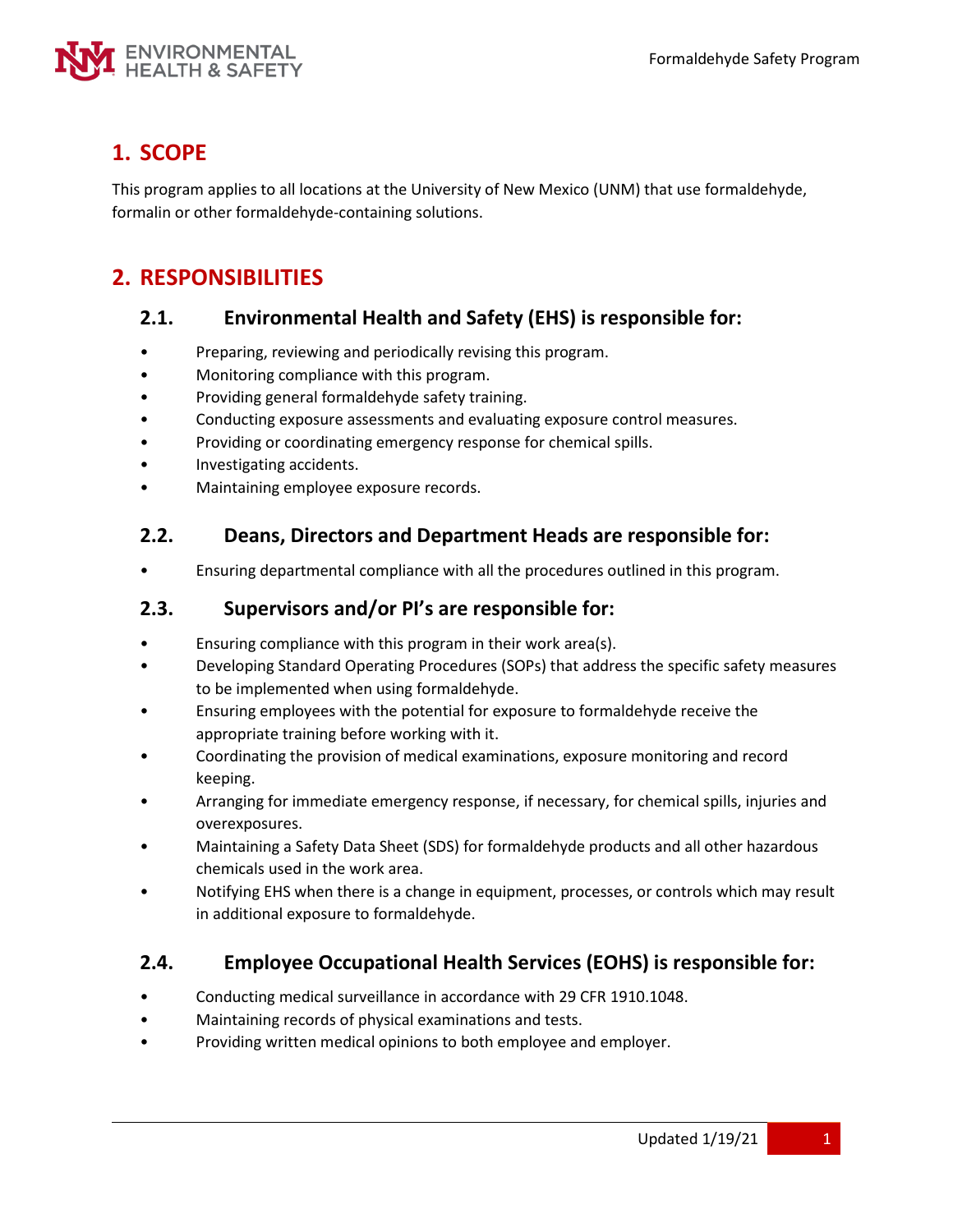<span id="page-6-0"></span>

# **1. SCOPE**

This program applies to all locations at the University of New Mexico (UNM) that use formaldehyde, formalin or other formaldehyde-containing solutions.

# **2. RESPONSIBILITIES**

#### **2.1. Environmental Health and Safety (EHS) is responsible for:**

- Preparing, reviewing and periodically revising this program.
- Monitoring compliance with this program.
- Providing general formaldehyde safety training.
- Conducting exposure assessments and evaluating exposure control measures.
- Providing or coordinating emergency response for chemical spills.
- Investigating accidents.
- Maintaining employee exposure records.

#### **2.2. Deans, Directors and Department Heads are responsible for:**

• Ensuring departmental compliance with all the procedures outlined in this program.

#### **2.3. Supervisors and/or PI's are responsible for:**

- Ensuring compliance with this program in their work area(s).
- Developing Standard Operating Procedures (SOPs) that address the specific safety measures to be implemented when using formaldehyde.
- Ensuring employees with the potential for exposure to formaldehyde receive the appropriate training before working with it.
- Coordinating the provision of medical examinations, exposure monitoring and record keeping.
- Arranging for immediate emergency response, if necessary, for chemical spills, injuries and overexposures.
- Maintaining a Safety Data Sheet (SDS) for formaldehyde products and all other hazardous chemicals used in the work area.
- Notifying EHS when there is a change in equipment, processes, or controls which may result in additional exposure to formaldehyde.

#### **2.4. Employee Occupational Health Services (EOHS) is responsible for:**

- Conducting medical surveillance in accordance with 29 CFR 1910.1048.
- Maintaining records of physical examinations and tests.
- Providing written medical opinions to both employee and employer.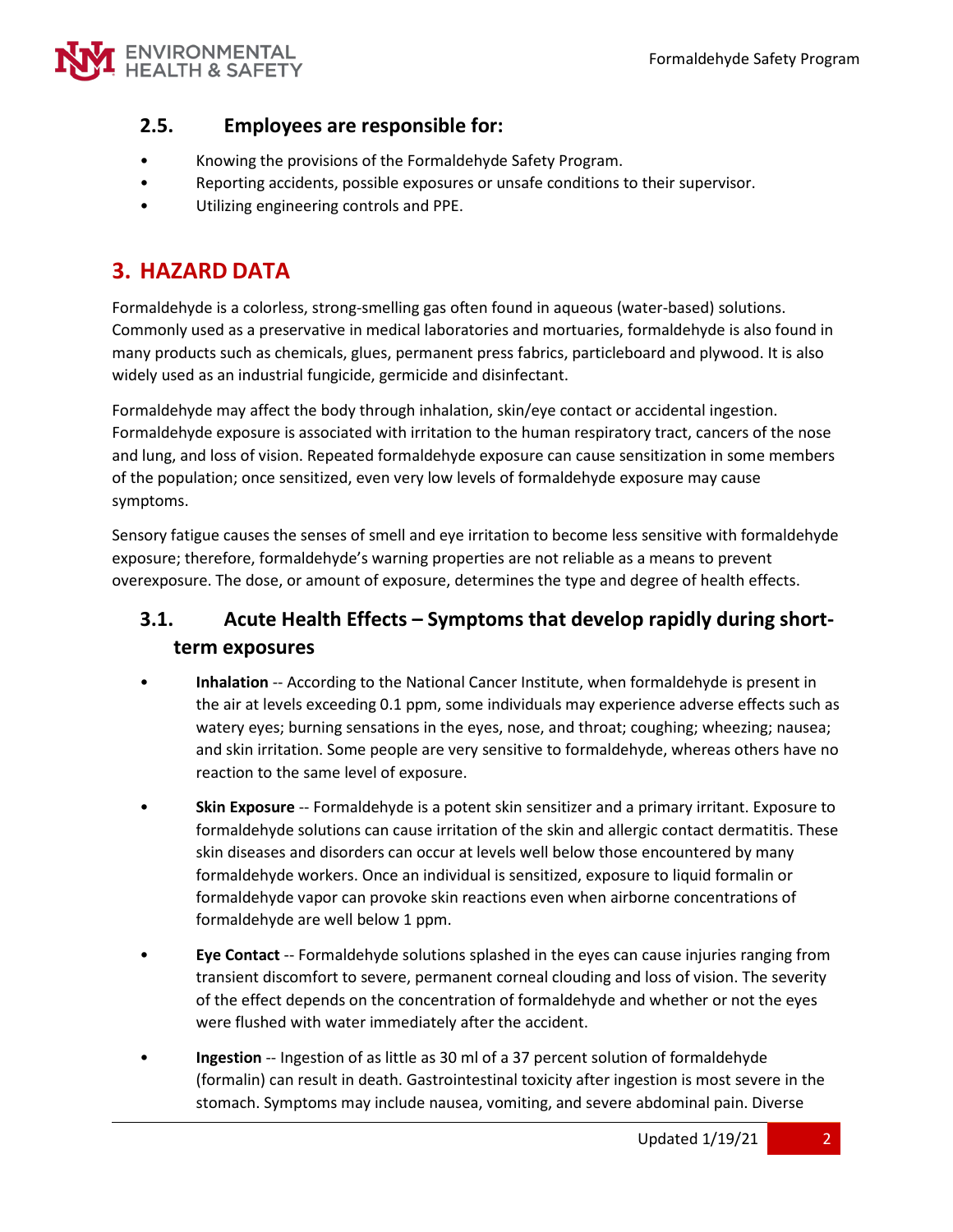<span id="page-7-0"></span>

#### **2.5. Employees are responsible for:**

- Knowing the provisions of the Formaldehyde Safety Program.
- Reporting accidents, possible exposures or unsafe conditions to their supervisor.
- Utilizing engineering controls and PPE.

## **3. HAZARD DATA**

Formaldehyde is a colorless, strong-smelling gas often found in aqueous (water-based) solutions. Commonly used as a preservative in medical laboratories and mortuaries, formaldehyde is also found in many products such as chemicals, glues, permanent press fabrics, particleboard and plywood. It is also widely used as an industrial fungicide, germicide and disinfectant.

Formaldehyde may affect the body through inhalation, skin/eye contact or accidental ingestion. Formaldehyde exposure is associated with irritation to the human respiratory tract, cancers of the nose and lung, and loss of vision. Repeated formaldehyde exposure can cause sensitization in some members of the population; once sensitized, even very low levels of formaldehyde exposure may cause symptoms.

Sensory fatigue causes the senses of smell and eye irritation to become less sensitive with formaldehyde exposure; therefore, formaldehyde's warning properties are not reliable as a means to prevent overexposure. The dose, or amount of exposure, determines the type and degree of health effects.

## **3.1. Acute Health Effects – Symptoms that develop rapidly during shortterm exposures**

- **Inhalation** -- According to the National Cancer Institute, when formaldehyde is present in the air at levels exceeding 0.1 ppm, some individuals may experience adverse effects such as watery eyes; burning sensations in the eyes, nose, and throat; coughing; wheezing; nausea; and skin irritation. Some people are very sensitive to formaldehyde, whereas others have no reaction to the same level of exposure.
- **Skin Exposure** -- Formaldehyde is a potent skin sensitizer and a primary irritant. Exposure to formaldehyde solutions can cause irritation of the skin and allergic contact dermatitis. These skin diseases and disorders can occur at levels well below those encountered by many formaldehyde workers. Once an individual is sensitized, exposure to liquid formalin or formaldehyde vapor can provoke skin reactions even when airborne concentrations of formaldehyde are well below 1 ppm.
- **Eye Contact** -- Formaldehyde solutions splashed in the eyes can cause injuries ranging from transient discomfort to severe, permanent corneal clouding and loss of vision. The severity of the effect depends on the concentration of formaldehyde and whether or not the eyes were flushed with water immediately after the accident.
- **Ingestion** -- Ingestion of as little as 30 ml of a 37 percent solution of formaldehyde (formalin) can result in death. Gastrointestinal toxicity after ingestion is most severe in the stomach. Symptoms may include nausea, vomiting, and severe abdominal pain. Diverse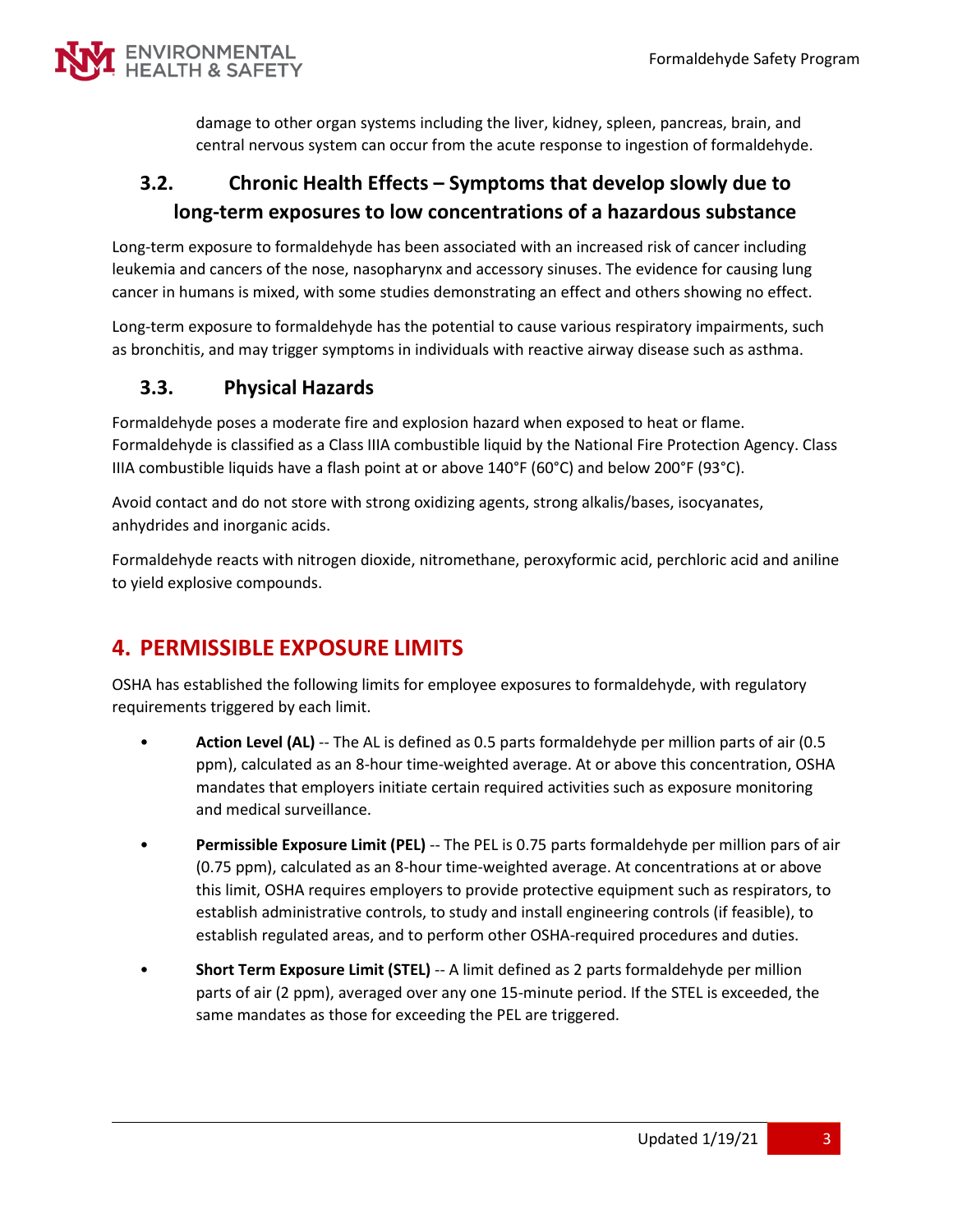<span id="page-8-0"></span>

damage to other organ systems including the liver, kidney, spleen, pancreas, brain, and central nervous system can occur from the acute response to ingestion of formaldehyde.

## **3.2. Chronic Health Effects – Symptoms that develop slowly due to long-term exposures to low concentrations of a hazardous substance**

Long-term exposure to formaldehyde has been associated with an increased risk of cancer including leukemia and cancers of the nose, nasopharynx and accessory sinuses. The evidence for causing lung cancer in humans is mixed, with some studies demonstrating an effect and others showing no effect.

Long-term exposure to formaldehyde has the potential to cause various respiratory impairments, such as bronchitis, and may trigger symptoms in individuals with reactive airway disease such as asthma.

## **3.3. Physical Hazards**

Formaldehyde poses a moderate fire and explosion hazard when exposed to heat or flame. Formaldehyde is classified as a Class IIIA combustible liquid by the National Fire Protection Agency. Class IIIA combustible liquids have a flash point at or above 140°F (60°C) and below 200°F (93°C).

Avoid contact and do not store with strong oxidizing agents, strong alkalis/bases, isocyanates, anhydrides and inorganic acids.

Formaldehyde reacts with nitrogen dioxide, nitromethane, peroxyformic acid, perchloric acid and aniline to yield explosive compounds.

# **4. PERMISSIBLE EXPOSURE LIMITS**

OSHA has established the following limits for employee exposures to formaldehyde, with regulatory requirements triggered by each limit.

- **Action Level (AL)** -- The AL is defined as 0.5 parts formaldehyde per million parts of air (0.5 ppm), calculated as an 8-hour time-weighted average. At or above this concentration, OSHA mandates that employers initiate certain required activities such as exposure monitoring and medical surveillance.
- **Permissible Exposure Limit (PEL)** -- The PEL is 0.75 parts formaldehyde per million pars of air (0.75 ppm), calculated as an 8-hour time-weighted average. At concentrations at or above this limit, OSHA requires employers to provide protective equipment such as respirators, to establish administrative controls, to study and install engineering controls (if feasible), to establish regulated areas, and to perform other OSHA-required procedures and duties.
- **Short Term Exposure Limit (STEL)** -- A limit defined as 2 parts formaldehyde per million parts of air (2 ppm), averaged over any one 15-minute period. If the STEL is exceeded, the same mandates as those for exceeding the PEL are triggered.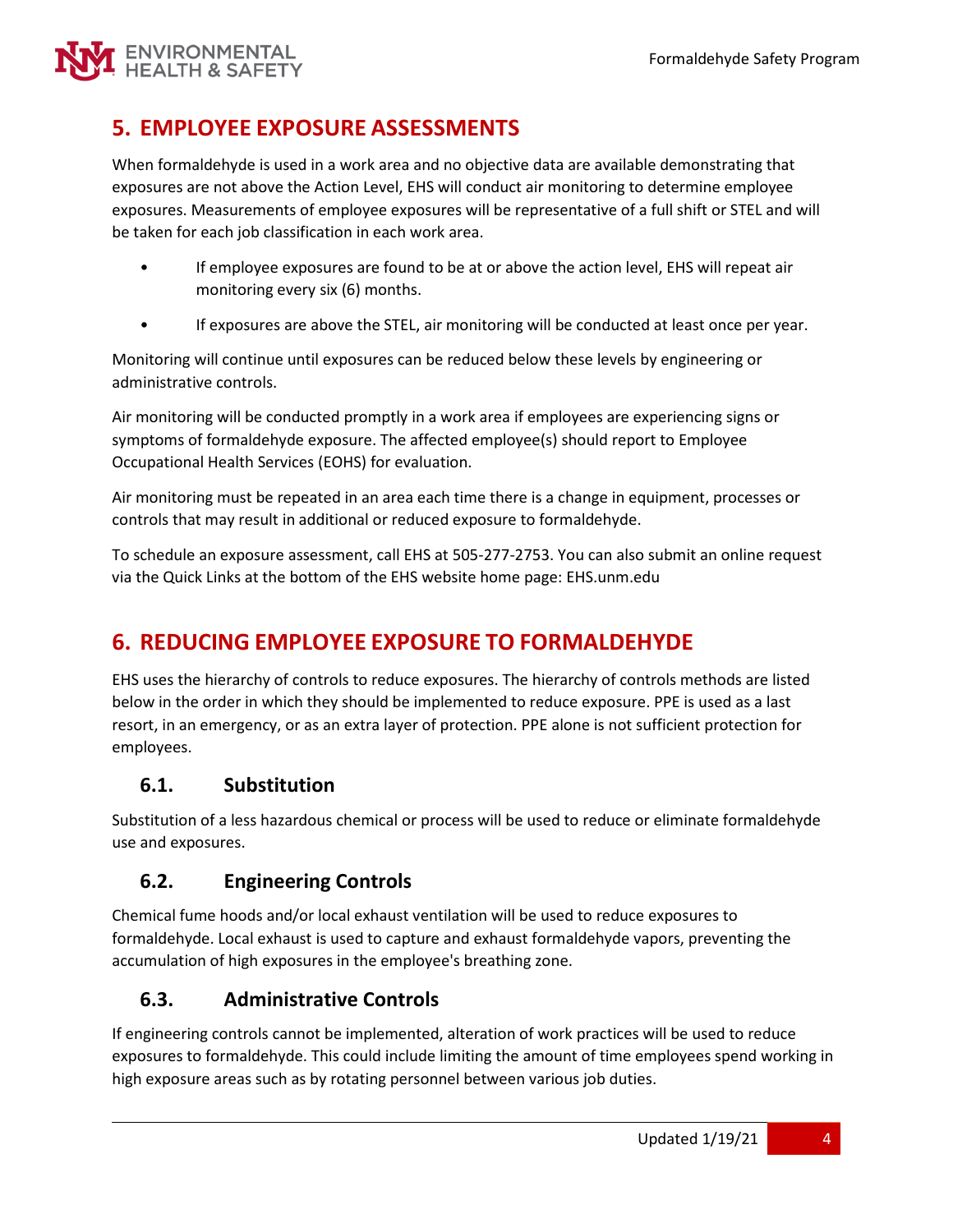<span id="page-9-0"></span>

# **5. EMPLOYEE EXPOSURE ASSESSMENTS**

When formaldehyde is used in a work area and no objective data are available demonstrating that exposures are not above the Action Level, EHS will conduct air monitoring to determine employee exposures. Measurements of employee exposures will be representative of a full shift or STEL and will be taken for each job classification in each work area.

- If employee exposures are found to be at or above the action level, EHS will repeat air monitoring every six (6) months.
- If exposures are above the STEL, air monitoring will be conducted at least once per year.

Monitoring will continue until exposures can be reduced below these levels by engineering or administrative controls.

Air monitoring will be conducted promptly in a work area if employees are experiencing signs or symptoms of formaldehyde exposure. The affected employee(s) should report to Employee Occupational Health Services (EOHS) for evaluation.

Air monitoring must be repeated in an area each time there is a change in equipment, processes or controls that may result in additional or reduced exposure to formaldehyde.

To schedule an exposure assessment, call EHS at 505-277-2753. You can also submit an online request via the Quick Links at the bottom of the EHS website home page: EHS.unm.edu

# **6. REDUCING EMPLOYEE EXPOSURE TO FORMALDEHYDE**

EHS uses the hierarchy of controls to reduce exposures. The hierarchy of controls methods are listed below in the order in which they should be implemented to reduce exposure. PPE is used as a last resort, in an emergency, or as an extra layer of protection. PPE alone is not sufficient protection for employees.

#### **6.1. Substitution**

Substitution of a less hazardous chemical or process will be used to reduce or eliminate formaldehyde use and exposures.

#### **6.2. Engineering Controls**

Chemical fume hoods and/or local exhaust ventilation will be used to reduce exposures to formaldehyde. Local exhaust is used to capture and exhaust formaldehyde vapors, preventing the accumulation of high exposures in the employee's breathing zone.

#### **6.3. Administrative Controls**

If engineering controls cannot be implemented, alteration of work practices will be used to reduce exposures to formaldehyde. This could include limiting the amount of time employees spend working in high exposure areas such as by rotating personnel between various job duties.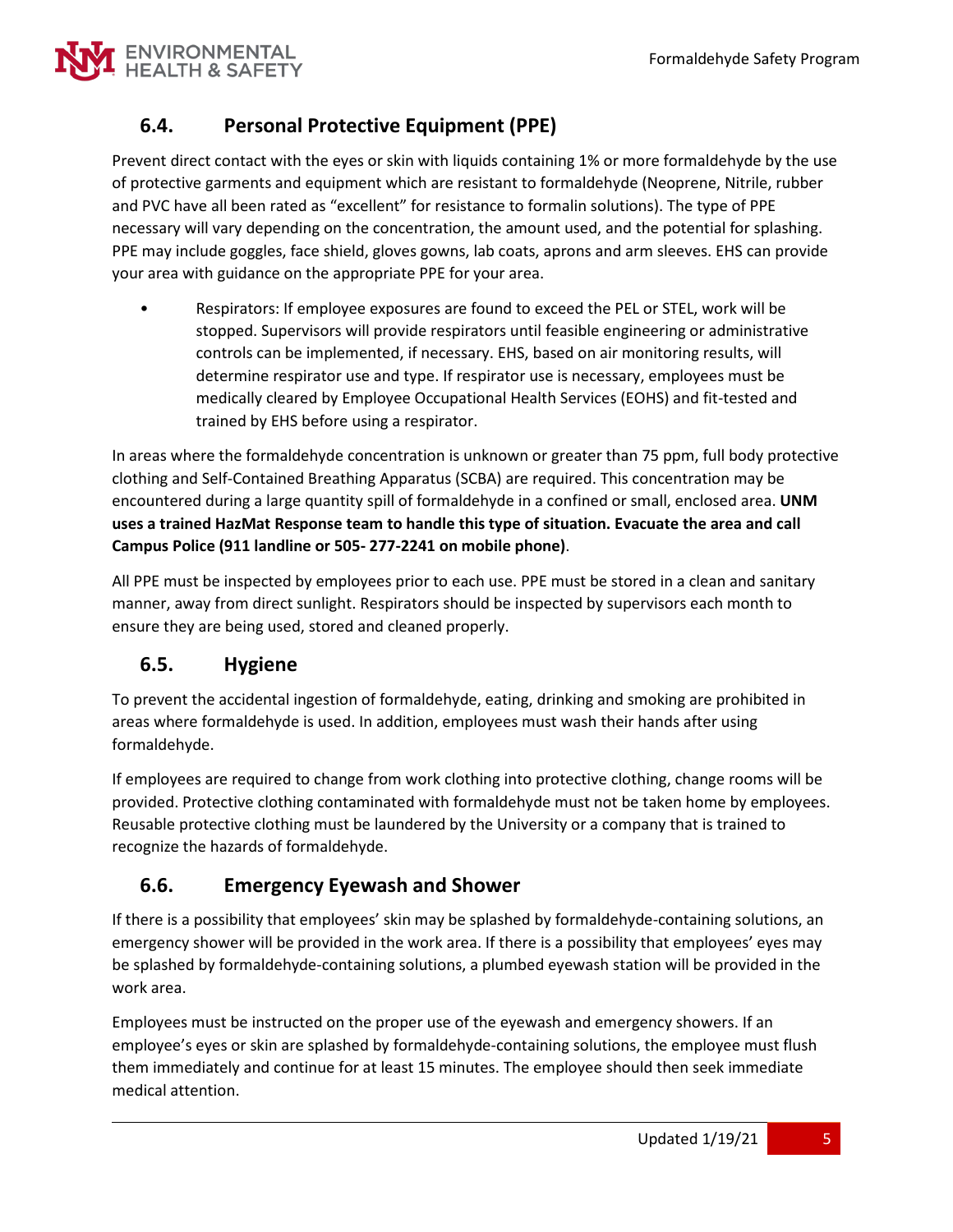

Prevent direct contact with the eyes or skin with liquids containing 1% or more formaldehyde by the use of protective garments and equipment which are resistant to formaldehyde (Neoprene, Nitrile, rubber and PVC have all been rated as "excellent" for resistance to formalin solutions). The type of PPE necessary will vary depending on the concentration, the amount used, and the potential for splashing. PPE may include goggles, face shield, gloves gowns, lab coats, aprons and arm sleeves. EHS can provide your area with guidance on the appropriate PPE for your area.

• Respirators: If employee exposures are found to exceed the PEL or STEL, work will be stopped. Supervisors will provide respirators until feasible engineering or administrative controls can be implemented, if necessary. EHS, based on air monitoring results, will determine respirator use and type. If respirator use is necessary, employees must be medically cleared by Employee Occupational Health Services (EOHS) and fit-tested and trained by EHS before using a respirator.

In areas where the formaldehyde concentration is unknown or greater than 75 ppm, full body protective clothing and Self-Contained Breathing Apparatus (SCBA) are required. This concentration may be encountered during a large quantity spill of formaldehyde in a confined or small, enclosed area. **UNM uses a trained HazMat Response team to handle this type of situation. Evacuate the area and call Campus Police (911 landline or 505- 277-2241 on mobile phone)**.

All PPE must be inspected by employees prior to each use. PPE must be stored in a clean and sanitary manner, away from direct sunlight. Respirators should be inspected by supervisors each month to ensure they are being used, stored and cleaned properly.

#### **6.5. Hygiene**

<span id="page-10-0"></span>ENVIRONMENTAL<br>HEALTH & SAFETY

To prevent the accidental ingestion of formaldehyde, eating, drinking and smoking are prohibited in areas where formaldehyde is used. In addition, employees must wash their hands after using formaldehyde.

If employees are required to change from work clothing into protective clothing, change rooms will be provided. Protective clothing contaminated with formaldehyde must not be taken home by employees. Reusable protective clothing must be laundered by the University or a company that is trained to recognize the hazards of formaldehyde.

## **6.6. Emergency Eyewash and Shower**

If there is a possibility that employees' skin may be splashed by formaldehyde-containing solutions, an emergency shower will be provided in the work area. If there is a possibility that employees' eyes may be splashed by formaldehyde-containing solutions, a plumbed eyewash station will be provided in the work area.

Employees must be instructed on the proper use of the eyewash and emergency showers. If an employee's eyes or skin are splashed by formaldehyde-containing solutions, the employee must flush them immediately and continue for at least 15 minutes. The employee should then seek immediate medical attention.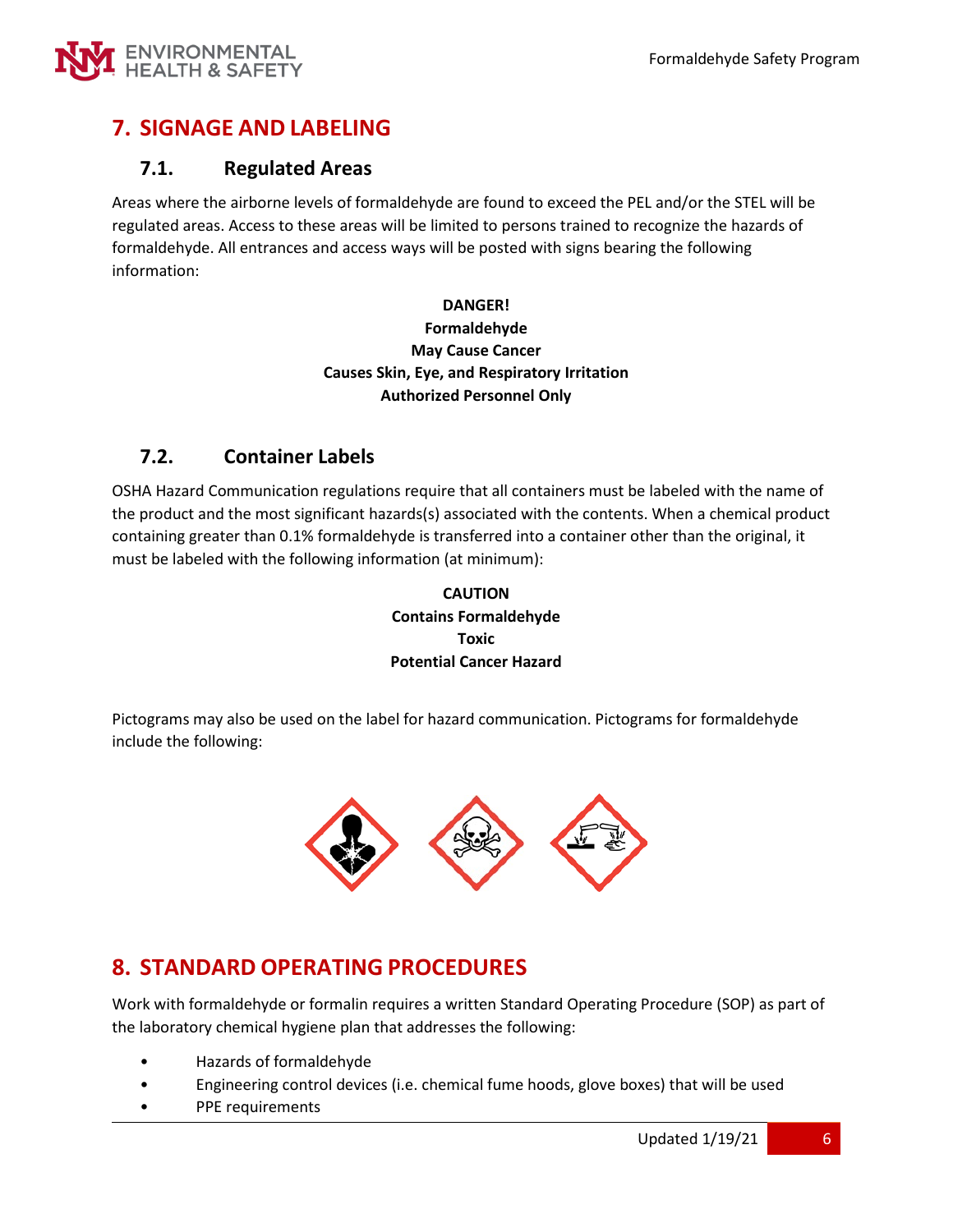<span id="page-11-0"></span>

# **7. SIGNAGE AND LABELING**

#### **7.1. Regulated Areas**

Areas where the airborne levels of formaldehyde are found to exceed the PEL and/or the STEL will be regulated areas. Access to these areas will be limited to persons trained to recognize the hazards of formaldehyde. All entrances and access ways will be posted with signs bearing the following information:

#### **DANGER! Formaldehyde May Cause Cancer Causes Skin, Eye, and Respiratory Irritation Authorized Personnel Only**

## **7.2. Container Labels**

OSHA Hazard Communication regulations require that all containers must be labeled with the name of the product and the most significant hazards(s) associated with the contents. When a chemical product containing greater than 0.1% formaldehyde is transferred into a container other than the original, it must be labeled with the following information (at minimum):

#### **CAUTION Contains Formaldehyde Toxic Potential Cancer Hazard**

Pictograms may also be used on the label for hazard communication. Pictograms for formaldehyde include the following:



# **8. STANDARD OPERATING PROCEDURES**

Work with formaldehyde or formalin requires a written Standard Operating Procedure (SOP) as part of the laboratory chemical hygiene plan that addresses the following:

- Hazards of formaldehyde
- Engineering control devices (i.e. chemical fume hoods, glove boxes) that will be used
- PPE requirements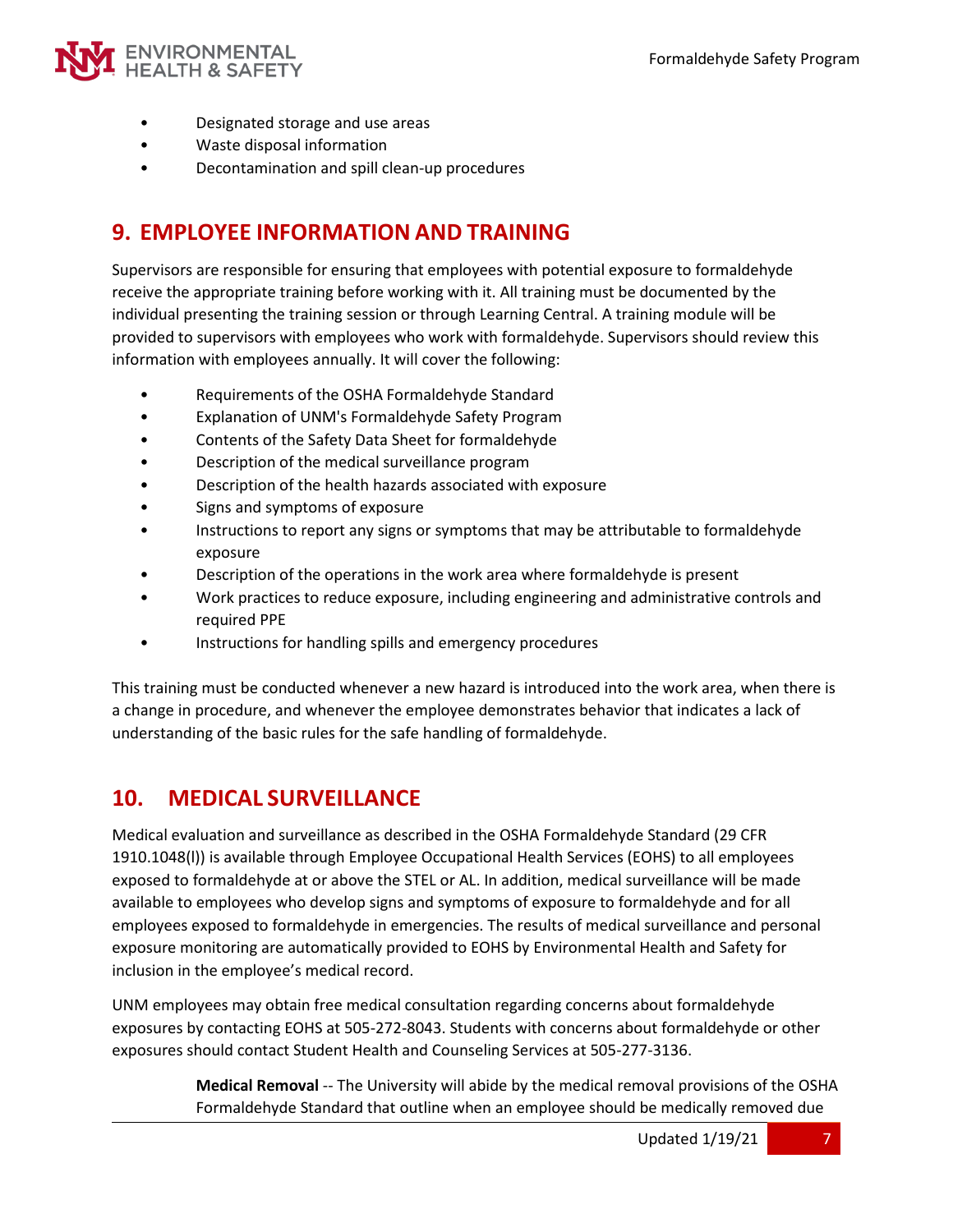<span id="page-12-0"></span>

- Designated storage and use areas
- Waste disposal information
- Decontamination and spill clean-up procedures

# **9. EMPLOYEE INFORMATION AND TRAINING**

Supervisors are responsible for ensuring that employees with potential exposure to formaldehyde receive the appropriate training before working with it. All training must be documented by the individual presenting the training session or through Learning Central. A training module will be provided to supervisors with employees who work with formaldehyde. Supervisors should review this information with employees annually. It will cover the following:

- Requirements of the OSHA Formaldehyde Standard
- Explanation of UNM's Formaldehyde Safety Program
- Contents of the Safety Data Sheet for formaldehyde
- Description of the medical surveillance program
- Description of the health hazards associated with exposure
- Signs and symptoms of exposure
- Instructions to report any signs or symptoms that may be attributable to formaldehyde exposure
- Description of the operations in the work area where formaldehyde is present
- Work practices to reduce exposure, including engineering and administrative controls and required PPE
- Instructions for handling spills and emergency procedures

This training must be conducted whenever a new hazard is introduced into the work area, when there is a change in procedure, and whenever the employee demonstrates behavior that indicates a lack of understanding of the basic rules for the safe handling of formaldehyde.

## **10. MEDICAL SURVEILLANCE**

Medical evaluation and surveillance as described in the OSHA Formaldehyde Standard (29 CFR 1910.1048(l)) is available through Employee Occupational Health Services (EOHS) to all employees exposed to formaldehyde at or above the STEL or AL. In addition, medical surveillance will be made available to employees who develop signs and symptoms of exposure to formaldehyde and for all employees exposed to formaldehyde in emergencies. The results of medical surveillance and personal exposure monitoring are automatically provided to EOHS by Environmental Health and Safety for inclusion in the employee's medical record.

UNM employees may obtain free medical consultation regarding concerns about formaldehyde exposures by contacting EOHS at 505-272-8043. Students with concerns about formaldehyde or other exposures should contact Student Health and Counseling Services at 505-277-3136.

> **Medical Removal** -- The University will abide by the medical removal provisions of the OSHA Formaldehyde Standard that outline when an employee should be medically removed due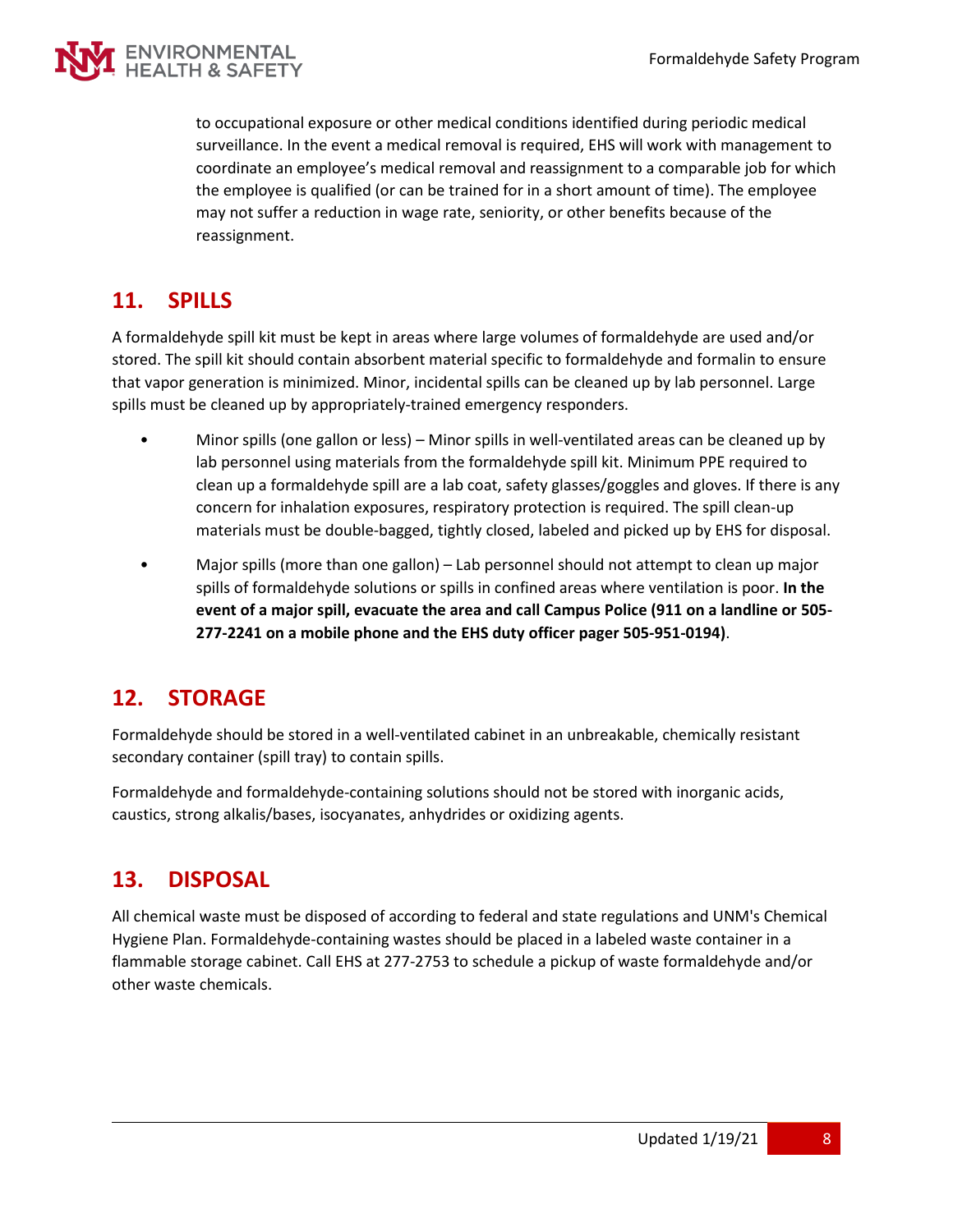<span id="page-13-0"></span>

to occupational exposure or other medical conditions identified during periodic medical surveillance. In the event a medical removal is required, EHS will work with management to coordinate an employee's medical removal and reassignment to a comparable job for which the employee is qualified (or can be trained for in a short amount of time). The employee may not suffer a reduction in wage rate, seniority, or other benefits because of the reassignment.

# **11. SPILLS**

A formaldehyde spill kit must be kept in areas where large volumes of formaldehyde are used and/or stored. The spill kit should contain absorbent material specific to formaldehyde and formalin to ensure that vapor generation is minimized. Minor, incidental spills can be cleaned up by lab personnel. Large spills must be cleaned up by appropriately-trained emergency responders.

- Minor spills (one gallon or less) Minor spills in well-ventilated areas can be cleaned up by lab personnel using materials from the formaldehyde spill kit. Minimum PPE required to clean up a formaldehyde spill are a lab coat, safety glasses/goggles and gloves. If there is any concern for inhalation exposures, respiratory protection is required. The spill clean-up materials must be double-bagged, tightly closed, labeled and picked up by EHS for disposal.
- Major spills (more than one gallon) Lab personnel should not attempt to clean up major spills of formaldehyde solutions or spills in confined areas where ventilation is poor. **In the event of a major spill, evacuate the area and call Campus Police (911 on a landline or 505- 277-2241 on a mobile phone and the EHS duty officer pager 505-951-0194)**.

# **12. STORAGE**

Formaldehyde should be stored in a well-ventilated cabinet in an unbreakable, chemically resistant secondary container (spill tray) to contain spills.

Formaldehyde and formaldehyde-containing solutions should not be stored with inorganic acids, caustics, strong alkalis/bases, isocyanates, anhydrides or oxidizing agents.

# **13. DISPOSAL**

All chemical waste must be disposed of according to federal and state regulations and UNM's Chemical Hygiene Plan. Formaldehyde-containing wastes should be placed in a labeled waste container in a flammable storage cabinet. Call EHS at 277-2753 to schedule a pickup of waste formaldehyde and/or other waste chemicals.